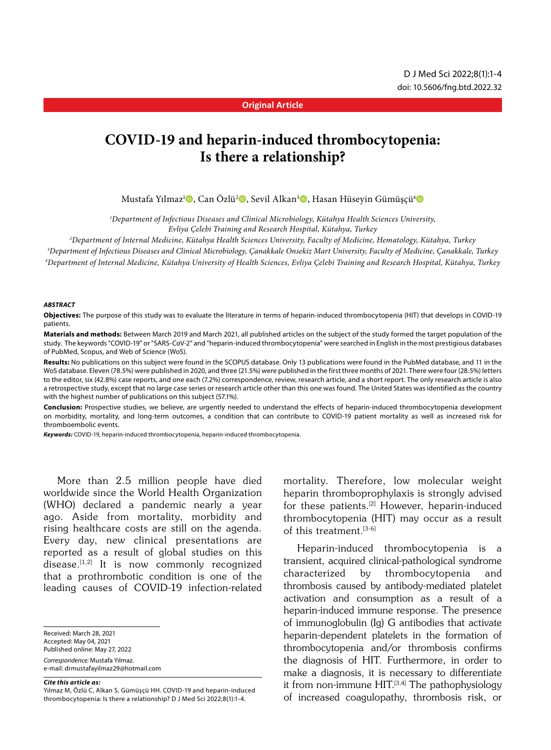### **Original Article**

# **COVID-19 and heparin-induced thrombocytopenia: Is there a relationship?**

Mustafa Yılmaz<sup>ı</sup> (ə, Can Özlü<sup>2</sup> (ə, Sevil Alkan<sup>3</sup> (ə, Hasan Hüseyin Gümüşçü (ə

*1 Department of Infectious Diseases and Clinical Microbiology, Kütahya Health Sciences University, Evliya Çelebi Training and Research Hospital, Kütahya, Turkey*

*2 Department of Internal Medicine, Kütahya Health Sciences University, Faculty of Medicine, Hematology, Kütahya, Turkey*

*3 Department of Infectious Diseases and Clinical Microbiology, Çanakkale Onsekiz Mart University, Faculty of Medicine, Çanakkale, Turkey*

*4 Department of Internal Medicine, Kütahya University of Health Sciences, Evliya Çelebi Training and Research Hospital, Kütahya, Turkey*

#### *ABSTRACT*

**Objectives:** The purpose of this study was to evaluate the literature in terms of heparin-induced thrombocytopenia (HIT) that develops in COVID-19 patients.

**Materials and methods:** Between March 2019 and March 2021, all published articles on the subject of the study formed the target population of the study. The keywords "COVID-19" or "SARS-CoV-2" and "heparin-induced thrombocytopenia" were searched in English in the most prestigious databases of PubMed, Scopus, and Web of Science (WoS).

**Results:** No publications on this subject were found in the SCOPUS database. Only 13 publications were found in the PubMed database, and 11 in the WoS database. Eleven (78.5%) were published in 2020, and three (21.5%) were published in the first three months of 2021. There were four (28.5%) letters to the editor, six (42.8%) case reports, and one each (7.2%) correspondence, review, research article, and a short report. The only research article is also a retrospective study, except that no large case series or research article other than this one was found. The United States was identified as the country with the highest number of publications on this subject (57.1%).

**Conclusion:** Prospective studies, we believe, are urgently needed to understand the effects of heparin-induced thrombocytopenia development on morbidity, mortality, and long-term outcomes, a condition that can contribute to COVID-19 patient mortality as well as increased risk for thromboembolic events.

*Keywords:* COVID-19, heparin-induced thrombocytopenia, heparin-induced thrombocytopenia.

More than 2.5 million people have died worldwide since the World Health Organization (WHO) declared a pandemic nearly a year ago. Aside from mortality, morbidity and rising healthcare costs are still on the agenda. Every day, new clinical presentations are reported as a result of global studies on this disease. $[1,2]$  It is now commonly recognized that a prothrombotic condition is one of the leading causes of COVID-19 infection-related

Received: March 28, 2021 Accepted: May 04, 2021 Published online: May 27, 2022 *Correspondence:* Mustafa Yılmaz. e-mail: drmustafayilmaz29@hotmail.com

*Cite this article as:*

mortality. Therefore, low molecular weight heparin thromboprophylaxis is strongly advised for these patients.<sup>[2]</sup> However, heparin-induced thrombocytopenia (HIT) may occur as a result of this treatment.<sup>[3-6]</sup>

Heparin-induced thrombocytopenia is a transient, acquired clinical-pathological syndrome characterized by thrombocytopenia and thrombosis caused by antibody-mediated platelet activation and consumption as a result of a heparin-induced immune response. The presence of immunoglobulin (Ig) G antibodies that activate heparin-dependent platelets in the formation of thrombocytopenia and/or thrombosis confirms the diagnosis of HIT. Furthermore, in order to make a diagnosis, it is necessary to differentiate it from non-immune  $HIT.$ <sup>[3,4]</sup> The pathophysiology of increased coagulopathy, thrombosis risk, or

Yılmaz M, Özlü C, Alkan S, Gümüşçü HH. COVID-19 and heparin-induced thrombocytopenia: Is there a relationship? D J Med Sci 2022;8(1):1-4.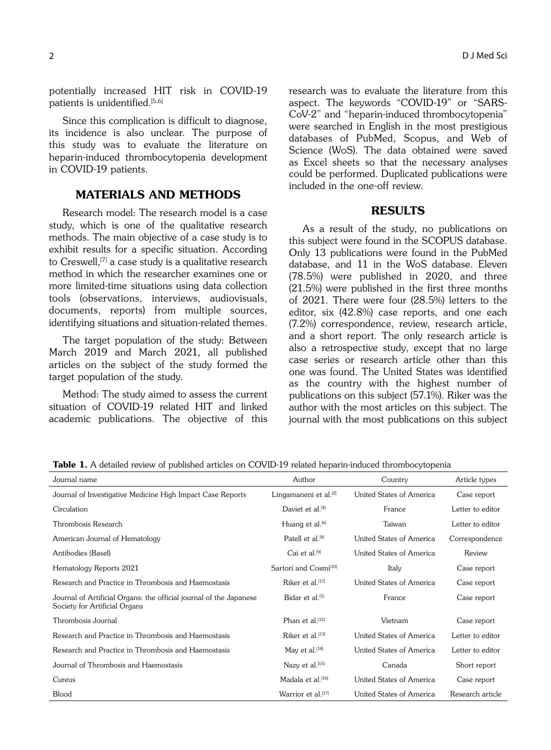potentially increased HIT risk in COVID-19 patients is unidentified.<sup>[5,6]</sup>

Since this complication is difficult to diagnose, its incidence is also unclear. The purpose of this study was to evaluate the literature on heparin-induced thrombocytopenia development in COVID-19 patients.

# MATERIALS AND METHODS

Research model: The research model is a case study, which is one of the qualitative research methods. The main objective of a case study is to exhibit results for a specific situation. According to Creswell,<sup>[7]</sup> a case study is a qualitative research method in which the researcher examines one or more limited-time situations using data collection tools (observations, interviews, audiovisuals, documents, reports) from multiple sources, identifying situations and situation-related themes.

The target population of the study: Between March 2019 and March 2021, all published articles on the subject of the study formed the target population of the study.

Method: The study aimed to assess the current situation of COVID-19 related HIT and linked academic publications. The objective of this research was to evaluate the literature from this aspect. The keywords "COVID-19" or "SARS-CoV-2" and "heparin-induced thrombocytopenia" were searched in English in the most prestigious databases of PubMed, Scopus, and Web of Science (WoS). The data obtained were saved as Excel sheets so that the necessary analyses could be performed. Duplicated publications were included in the one-off review.

## RESULTS

As a result of the study, no publications on this subject were found in the SCOPUS database. Only 13 publications were found in the PubMed database, and 11 in the WoS database. Eleven (78.5%) were published in 2020, and three (21.5%) were published in the first three months of 2021. There were four (28.5%) letters to the editor, six (42.8%) case reports, and one each (7.2%) correspondence, review, research article, and a short report. The only research article is also a retrospective study, except that no large case series or research article other than this one was found. The United States was identified as the country with the highest number of publications on this subject (57.1%). Riker was the author with the most articles on this subject. The journal with the most publications on this subject

| Journal name                                                                                        | Author                            | Country                  | Article types    |
|-----------------------------------------------------------------------------------------------------|-----------------------------------|--------------------------|------------------|
| Journal of Investigative Medicine High Impact Case Reports                                          | Lingamaneni et al. <sup>[2]</sup> | United States of America | Case report      |
| Circulation                                                                                         | Daviet et al. <sup>[4]</sup>      | France                   | Letter to editor |
| Thrombosis Research                                                                                 | Huang et al. <sup>[6]</sup>       | Taiwan                   | Letter to editor |
| American Journal of Hematology                                                                      | Patell et al. <sup>[8]</sup>      | United States of America | Correspondence   |
| Antibodies (Basel)                                                                                  | Cai et al. <sup>[9]</sup>         | United States of America | Review           |
| Hematology Reports 2021                                                                             | Sartori and Cosmi <sup>[10]</sup> | Italy                    | Case report      |
| Research and Practice in Thrombosis and Haemostasis                                                 | Riker et al. <sup>[11]</sup>      | United States of America | Case report      |
| Journal of Artificial Organs: the official journal of the Japanese<br>Society for Artificial Organs | Bidar et al. <sup>[5]</sup>       | France                   | Case report      |
| Thrombosis Journal                                                                                  | Phan et al.[12]                   | Vietnam                  | Case report      |
| Research and Practice in Thrombosis and Haemostasis                                                 | Riker et al. <sup>[13]</sup>      | United States of America | Letter to editor |
| Research and Practice in Thrombosis and Haemostasis                                                 | May et al. <sup>[14]</sup>        | United States of America | Letter to editor |
| Journal of Thrombosis and Haemostasis                                                               | Nazy et al.[15]                   | Canada                   | Short report     |
| Cureus                                                                                              | Madala et al. <sup>[16]</sup>     | United States of America | Case report      |
| Blood                                                                                               | Warrior et al. <sup>[17]</sup>    | United States of America | Research article |

Table 1. A detailed review of published articles on COVID-19 related heparin-induced thrombocytopenia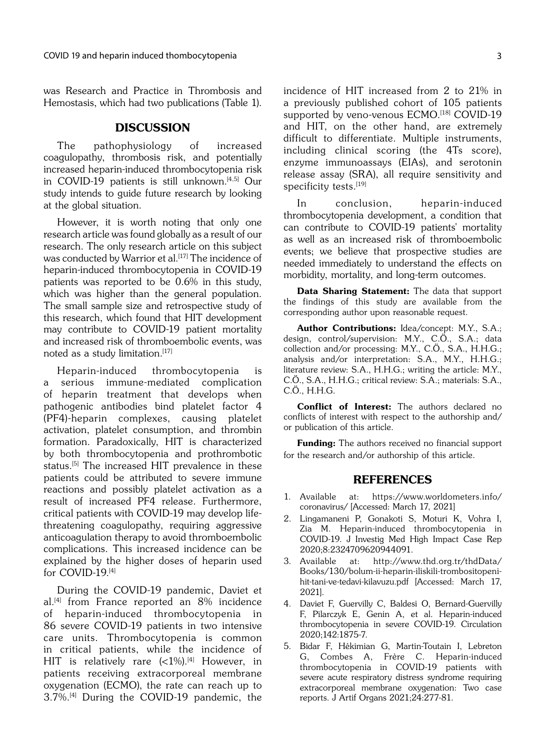was Research and Practice in Thrombosis and Hemostasis, which had two publications (Table 1).

# **DISCUSSION**

The pathophysiology of increased coagulopathy, thrombosis risk, and potentially increased heparin-induced thrombocytopenia risk in COVID-19 patients is still unknown.<sup>[4,5]</sup> Our study intends to guide future research by looking at the global situation.

However, it is worth noting that only one research article was found globally as a result of our research. The only research article on this subject was conducted by Warrior et al.<sup>[17]</sup> The incidence of heparin-induced thrombocytopenia in COVID-19 patients was reported to be 0.6% in this study, which was higher than the general population. The small sample size and retrospective study of this research, which found that HIT development may contribute to COVID-19 patient mortality and increased risk of thromboembolic events, was noted as a study limitation.[17]

Heparin-induced thrombocytopenia is a serious immune-mediated complication of heparin treatment that develops when pathogenic antibodies bind platelet factor 4 (PF4)-heparin complexes, causing platelet activation, platelet consumption, and thrombin formation. Paradoxically, HIT is characterized by both thrombocytopenia and prothrombotic status.<sup>[5]</sup> The increased HIT prevalence in these patients could be attributed to severe immune reactions and possibly platelet activation as a result of increased PF4 release. Furthermore, critical patients with COVID-19 may develop lifethreatening coagulopathy, requiring aggressive anticoagulation therapy to avoid thromboembolic complications. This increased incidence can be explained by the higher doses of heparin used for COVID-19.[4]

During the COVID-19 pandemic, Daviet et al.[4] from France reported an 8% incidence of heparin-induced thrombocytopenia in 86 severe COVID-19 patients in two intensive care units. Thrombocytopenia is common in critical patients, while the incidence of HIT is relatively rare  $(<1%)$ .<sup>[4]</sup> However, in patients receiving extracorporeal membrane oxygenation (ECMO), the rate can reach up to 3.7%.[4] During the COVID-19 pandemic, the

incidence of HIT increased from 2 to 21% in a previously published cohort of 105 patients supported by veno-venous ECMO.[18] COVID-19 and HIT, on the other hand, are extremely difficult to differentiate. Multiple instruments, including clinical scoring (the 4Ts score), enzyme immunoassays (EIAs), and serotonin release assay (SRA), all require sensitivity and specificity tests.[19]

In conclusion, heparin-induced thrombocytopenia development, a condition that can contribute to COVID-19 patients' mortality as well as an increased risk of thromboembolic events; we believe that prospective studies are needed immediately to understand the effects on morbidity, mortality, and long-term outcomes.

Data Sharing Statement: The data that support the findings of this study are available from the corresponding author upon reasonable request.

Author Contributions: Idea/concept: M.Y., S.A.; design, control/supervision: M.Y., C.Ö., S.A.; data collection and/or processing: M.Y., C.Ö., S.A., H.H.G.; analysis and/or interpretation: S.A., M.Y., H.H.G.; literature review: S.A., H.H.G.; writing the article: M.Y., C.Ö., S.A., H.H.G.; critical review: S.A.; materials: S.A., C.Ö., H.H.G.

Conflict of Interest: The authors declared no conflicts of interest with respect to the authorship and/ or publication of this article.

Funding: The authors received no financial support for the research and/or authorship of this article.

## REFERENCES

- 1. Available at: https://www.worldometers.info/ coronavirus/ [Accessed: March 17, 2021]
- 2. Lingamaneni P, Gonakoti S, Moturi K, Vohra I, Zia M. Heparin-induced thrombocytopenia in COVID-19. J Investig Med High Impact Case Rep 2020;8:2324709620944091.
- 3. Available at: http://www.thd.org.tr/thdData/ Books/130/bolum-ii-heparin-iliskili-trombositopenihit-tani-ve-tedavi-kilavuzu.pdf [Accessed: March 17, 2021].
- 4. Daviet F, Guervilly C, Baldesi O, Bernard-Guervilly F, Pilarczyk E, Genin A, et al. Heparin-induced thrombocytopenia in severe COVID-19. Circulation 2020;142:1875-7.
- 5. Bidar F, Hékimian G, Martin-Toutain I, Lebreton G, Combes A, Frère C. Heparin-induced thrombocytopenia in COVID-19 patients with severe acute respiratory distress syndrome requiring extracorporeal membrane oxygenation: Two case reports. J Artif Organs 2021;24:277-81.